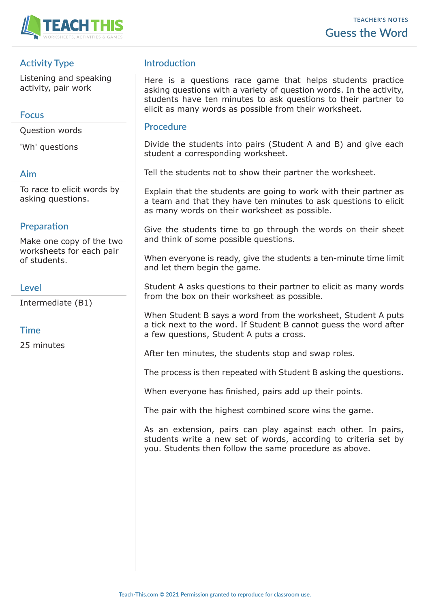

# **Activity Type**

Listening and speaking activity, pair work

## **Focus**

Question words

'Wh' questions

### **Aim**

To race to elicit words by asking questions.

# **Preparation**

Make one copy of the two worksheets for each pair of students.

### **Level**

Intermediate (B1)

## **Time**

25 minutes

# **Introduction**

Here is a questions race game that helps students practice asking questions with a variety of question words. In the activity, students have ten minutes to ask questions to their partner to elicit as many words as possible from their worksheet.

#### **Procedure**

Divide the students into pairs (Student A and B) and give each student a corresponding worksheet.

Tell the students not to show their partner the worksheet.

Explain that the students are going to work with their partner as a team and that they have ten minutes to ask questions to elicit as many words on their worksheet as possible.

Give the students time to go through the words on their sheet and think of some possible questions.

When everyone is ready, give the students a ten-minute time limit and let them begin the game.

Student A asks questions to their partner to elicit as many words from the box on their worksheet as possible.

When Student B says a word from the worksheet, Student A puts a tick next to the word. If Student B cannot guess the word after a few questions, Student A puts a cross.

After ten minutes, the students stop and swap roles.

The process is then repeated with Student B asking the questions.

When everyone has finished, pairs add up their points.

The pair with the highest combined score wins the game.

As an extension, pairs can play against each other. In pairs, students write a new set of words, according to criteria set by you. Students then follow the same procedure as above.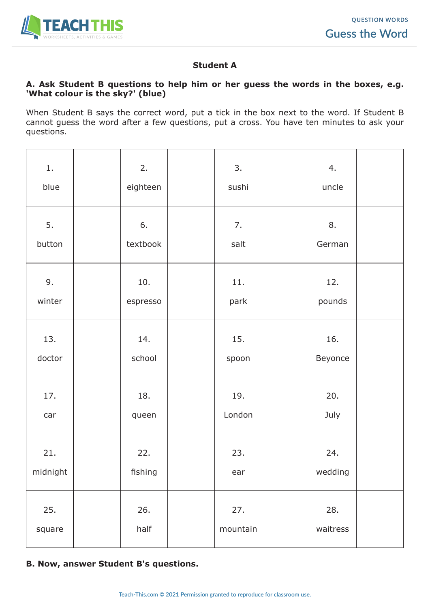

### **Student A**

#### **A. Ask Student B questions to help him or her guess the words in the boxes, e.g. 'What colour is the sky?' (blue)**

When Student B says the correct word, put a tick in the box next to the word. If Student B cannot guess the word after a few questions, put a cross. You have ten minutes to ask your questions.

| 1.<br>blue      | 2.<br>eighteen  | 3.<br>sushi     | 4.<br>uncle     |  |
|-----------------|-----------------|-----------------|-----------------|--|
| 5.<br>button    | 6.<br>textbook  | 7.<br>salt      | 8.<br>German    |  |
| 9.<br>winter    | 10.<br>espresso | 11.<br>park     | 12.<br>pounds   |  |
| 13.<br>doctor   | 14.<br>school   | 15.<br>spoon    | 16.<br>Beyonce  |  |
| 17.<br>car      | 18.<br>queen    | 19.<br>London   | 20.<br>July     |  |
| 21.<br>midnight | 22.<br>fishing  | 23.<br>ear      | 24.<br>wedding  |  |
| 25.<br>square   | 26.<br>half     | 27.<br>mountain | 28.<br>waitress |  |

### **B. Now, answer Student B's questions.**